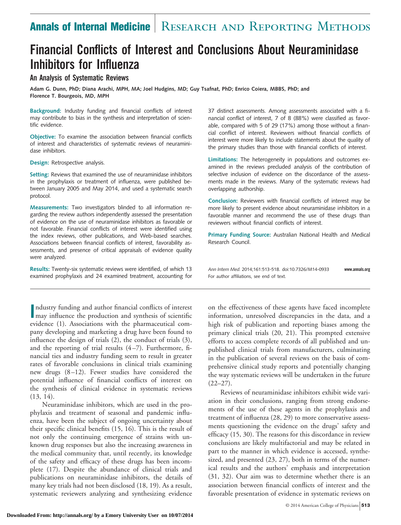# **Annals of Internal Medicine** | RESEARCH AND REPORTING METHODS

# **Financial Conflicts of Interest and Conclusions About Neuraminidase Inhibitors for Influenza**

#### **An Analysis of Systematic Reviews**

**Adam G. Dunn, PhD; Diana Arachi, MPH, MA; Joel Hudgins, MD; Guy Tsafnat, PhD; Enrico Coiera, MBBS, PhD; and Florence T. Bourgeois, MD, MPH**

**Background:** Industry funding and financial conflicts of interest may contribute to bias in the synthesis and interpretation of scientific evidence.

**Objective:** To examine the association between financial conflicts of interest and characteristics of systematic reviews of neuraminidase inhibitors.

**Design:** Retrospective analysis.

**Setting:** Reviews that examined the use of neuraminidase inhibitors in the prophylaxis or treatment of influenza, were published between January 2005 and May 2014, and used a systematic search protocol.

**Measurements:** Two investigators blinded to all information regarding the review authors independently assessed the presentation of evidence on the use of neuraminidase inhibitors as favorable or not favorable. Financial conflicts of interest were identified using the index reviews, other publications, and Web-based searches. Associations between financial conflicts of interest, favorability assessments, and presence of critical appraisals of evidence quality were analyzed.

**Results:** Twenty-six systematic reviews were identified, of which 13 examined prophylaxis and 24 examined treatment, accounting for

**I I** ndustry funding and author financial conflicts of interest<br>
may influence the production and synthesis of scientific ndustry funding and author financial conflicts of interest evidence (1). Associations with the pharmaceutical company developing and marketing a drug have been found to influence the design of trials (2), the conduct of trials (3), and the reporting of trial results  $(4-7)$ . Furthermore, financial ties and industry funding seem to result in greater rates of favorable conclusions in clinical trials examining new drugs (8 –12). Fewer studies have considered the potential influence of financial conflicts of interest on the synthesis of clinical evidence in systematic reviews (13, 14).

Neuraminidase inhibitors, which are used in the prophylaxis and treatment of seasonal and pandemic influenza, have been the subject of ongoing uncertainty about their specific clinical benefits (15, 16). This is the result of not only the continuing emergence of strains with unknown drug responses but also the increasing awareness in the medical community that, until recently, its knowledge of the safety and efficacy of these drugs has been incomplete (17). Despite the abundance of clinical trials and publications on neuraminidase inhibitors, the details of many key trials had not been disclosed (18, 19). As a result, systematic reviewers analyzing and synthesizing evidence

37 distinct assessments. Among assessments associated with a financial conflict of interest, 7 of 8 (88%) were classified as favorable, compared with 5 of 29 (17%) among those without a financial conflict of interest. Reviewers without financial conflicts of interest were more likely to include statements about the quality of the primary studies than those with financial conflicts of interest.

**Limitations:** The heterogeneity in populations and outcomes examined in the reviews precluded analysis of the contribution of selective inclusion of evidence on the discordance of the assessments made in the reviews. Many of the systematic reviews had overlapping authorship.

**Conclusion:** Reviewers with financial conflicts of interest may be more likely to present evidence about neuraminidase inhibitors in a favorable manner and recommend the use of these drugs than reviewers without financial conflicts of interest.

**Primary Funding Source:** Australian National Health and Medical Research Council.

*Ann Intern Med.* 2014;161:513-518. doi:10.7326/M14-0933 **www.annals.org** For author affiliations, see end of text.

on the effectiveness of these agents have faced incomplete information, unresolved discrepancies in the data, and a high risk of publication and reporting biases among the primary clinical trials (20, 21). This prompted extensive efforts to access complete records of all published and unpublished clinical trials from manufacturers, culminating in the publication of several reviews on the basis of comprehensive clinical study reports and potentially changing the way systematic reviews will be undertaken in the future  $(22-27)$ .

Reviews of neuraminidase inhibitors exhibit wide variation in their conclusions, ranging from strong endorsements of the use of these agents in the prophylaxis and treatment of influenza (28, 29) to more conservative assessments questioning the evidence on the drugs' safety and efficacy (15, 30). The reasons for this discordance in review conclusions are likely multifactorial and may be related in part to the manner in which evidence is accessed, synthesized, and presented (23, 27), both in terms of the numerical results and the authors' emphasis and interpretation (31, 32). Our aim was to determine whether there is an association between financial conflicts of interest and the favorable presentation of evidence in systematic reviews on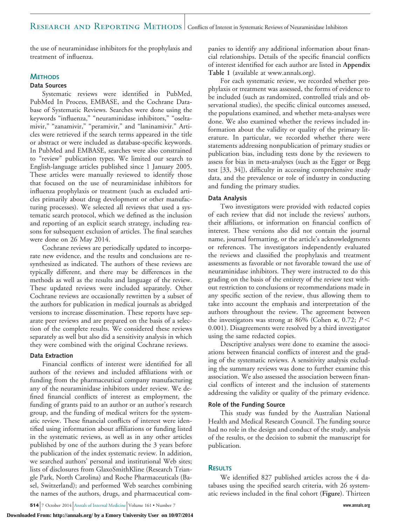## RESEARCH AND REPORTING METHODS | Conflicts of Interest in Systematic Reviews of Neuraminidase Inhibitors

the use of neuraminidase inhibitors for the prophylaxis and treatment of influenza.

#### **METHODS**

#### **Data Sources**

Systematic reviews were identified in PubMed, PubMed In Process, EMBASE, and the Cochrane Database of Systematic Reviews. Searches were done using the keywords "influenza," "neuraminidase inhibitors," "oseltamivir," "zanamivir," "peramivir," and "laninamivir." Articles were retrieved if the search terms appeared in the title or abstract or were included as database-specific keywords. In PubMed and EMBASE, searches were also constrained to "review" publication types. We limited our search to English-language articles published since 1 January 2005. These articles were manually reviewed to identify those that focused on the use of neuraminidase inhibitors for influenza prophylaxis or treatment (such as excluded articles primarily about drug development or other manufacturing processes). We selected all reviews that used a systematic search protocol, which we defined as the inclusion and reporting of an explicit search strategy, including reasons for subsequent exclusion of articles. The final searches were done on 26 May 2014.

Cochrane reviews are periodically updated to incorporate new evidence, and the results and conclusions are resynthesized as indicated. The authors of these reviews are typically different, and there may be differences in the methods as well as the results and language of the review. These updated reviews were included separately. Other Cochrane reviews are occasionally rewritten by a subset of the authors for publication in medical journals as abridged versions to increase dissemination. These reports have separate peer reviews and are prepared on the basis of a selection of the complete results. We considered these reviews separately as well but also did a sensitivity analysis in which they were combined with the original Cochrane reviews.

#### **Data Extraction**

Financial conflicts of interest were identified for all authors of the reviews and included affiliations with or funding from the pharmaceutical company manufacturing any of the neuraminidase inhibitors under review. We defined financial conflicts of interest as employment, the funding of grants paid to an author or an author's research group, and the funding of medical writers for the systematic review. These financial conflicts of interest were identified using information about affiliations or funding listed in the systematic reviews, as well as in any other articles published by one of the authors during the 3 years before the publication of the index systematic review. In addition, we searched authors' personal and institutional Web sites; lists of disclosures from GlaxoSmithKline (Research Triangle Park, North Carolina) and Roche Pharmaceuticals (Basel, Switzerland); and performed Web searches combining the names of the authors, drugs, and pharmaceutical com-

**514** 7 October 2014 Annals of Internal Medicine Volume 161 • Number 7 **www.annals.org** 

panies to identify any additional information about financial relationships. Details of the specific financial conflicts of interest identified for each author are listed in **Appendix Table 1** (available at [www.annals.org\)](http://www.annals.org).

For each systematic review, we recorded whether prophylaxis or treatment was assessed, the forms of evidence to be included (such as randomized, controlled trials and observational studies), the specific clinical outcomes assessed, the populations examined, and whether meta-analyses were done. We also examined whether the reviews included information about the validity or quality of the primary literature. In particular, we recorded whether there were statements addressing nonpublication of primary studies or publication bias, including tests done by the reviewers to assess for bias in meta-analyses (such as the Egger or Begg test [33, 34]), difficulty in accessing comprehensive study data, and the prevalence or role of industry in conducting and funding the primary studies.

#### **Data Analysis**

Two investigators were provided with redacted copies of each review that did not include the reviews' authors, their affiliations, or information on financial conflicts of interest. These versions also did not contain the journal name, journal formatting, or the article's acknowledgments or references. The investigators independently evaluated the reviews and classified the prophylaxis and treatment assessments as favorable or not favorable toward the use of neuraminidase inhibitors. They were instructed to do this grading on the basis of the entirety of the review text without restriction to conclusions or recommendations made in any specific section of the review, thus allowing them to take into account the emphasis and interpretation of the authors throughout the review. The agreement between the investigators was strong at 86% (Cohen  $\kappa$ , 0.72;  $P$  < 0.001). Disagreements were resolved by a third investigator using the same redacted copies.

Descriptive analyses were done to examine the associations between financial conflicts of interest and the grading of the systematic reviews. A sensitivity analysis excluding the summary reviews was done to further examine this association. We also assessed the association between financial conflicts of interest and the inclusion of statements addressing the validity or quality of the primary evidence.

#### **Role of the Funding Source**

This study was funded by the Australian National Health and Medical Research Council. The funding source had no role in the design and conduct of the study, analysis of the results, or the decision to submit the manuscript for publication.

#### **RESULTS**

We identified 827 published articles across the 4 databases using the specified search criteria, with 26 systematic reviews included in the final cohort (**Figure**). Thirteen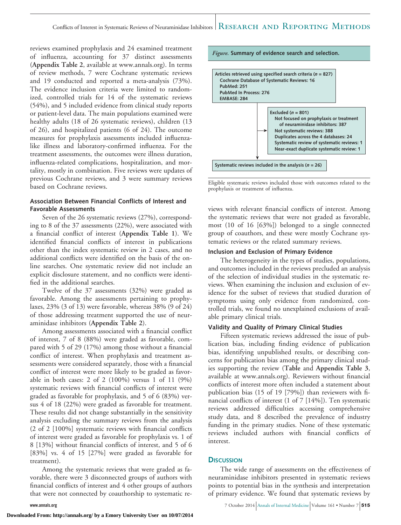reviews examined prophylaxis and 24 examined treatment of influenza, accounting for 37 distinct assessments (**Appendix Table 2**, available at [www.annals.org\)](http://www.annals.org). In terms of review methods, 7 were Cochrane systematic reviews and 19 conducted and reported a meta-analysis (73%). The evidence inclusion criteria were limited to randomized, controlled trials for 14 of the systematic reviews (54%), and 5 included evidence from clinical study reports or patient-level data. The main populations examined were healthy adults (18 of 26 systematic reviews), children (13 of 26), and hospitalized patients (6 of 24). The outcome measures for prophylaxis assessments included influenzalike illness and laboratory-confirmed influenza. For the treatment assessments, the outcomes were illness duration, influenza-related complications, hospitalization, and mortality, mostly in combination. Five reviews were updates of previous Cochrane reviews, and 3 were summary reviews based on Cochrane reviews.

#### **Association Between Financial Conflicts of Interest and Favorable Assessments**

Seven of the 26 systematic reviews (27%), corresponding to 8 of the 37 assessments (22%), were associated with a financial conflict of interest (**Appendix Table 1**). We identified financial conflicts of interest in publications other than the index systematic review in 2 cases, and no additional conflicts were identified on the basis of the online searches. One systematic review did not include an explicit disclosure statement, and no conflicts were identified in the additional searches.

Twelve of the 37 assessments (32%) were graded as favorable. Among the assessments pertaining to prophylaxes, 23% (3 of 13) were favorable, whereas 38% (9 of 24) of those addressing treatment supported the use of neuraminidase inhibitors (**Appendix Table 2**).

Among assessments associated with a financial conflict of interest, 7 of 8 (88%) were graded as favorable, compared with 5 of 29 (17%) among those without a financial conflict of interest. When prophylaxis and treatment assessments were considered separately, those with a financial conflict of interest were more likely to be graded as favorable in both cases: 2 of 2 (100%) versus 1 of 11 (9%) systematic reviews with financial conflicts of interest were graded as favorable for prophylaxis, and 5 of 6 (83%) versus 4 of 18 (22%) were graded as favorable for treatment. These results did not change substantially in the sensitivity analysis excluding the summary reviews from the analysis (2 of 2 [100%] systematic reviews with financial conflicts of interest were graded as favorable for prophylaxis vs. 1 of 8 [13%] without financial conflicts of interest, and 5 of 6 [83%] vs. 4 of 15 [27%] were graded as favorable for treatment).

Among the systematic reviews that were graded as favorable, there were 3 disconnected groups of authors with financial conflicts of interest and 4 other groups of authors that were not connected by coauthorship to systematic re*Figure.* **Summary of evidence search and selection.**



Eligible systematic reviews included those with outcomes related to the prophylaxis or treatment of influenza.

views with relevant financial conflicts of interest. Among the systematic reviews that were not graded as favorable, most (10 of 16 [63%]) belonged to a single connected group of coauthors, and these were mostly Cochrane systematic reviews or the related summary reviews.

#### **Inclusion and Exclusion of Primary Evidence**

The heterogeneity in the types of studies, populations, and outcomes included in the reviews precluded an analysis of the selection of individual studies in the systematic reviews. When examining the inclusion and exclusion of evidence for the subset of reviews that studied duration of symptoms using only evidence from randomized, controlled trials, we found no unexplained exclusions of available primary clinical trials.

#### **Validity and Quality of Primary Clinical Studies**

Fifteen systematic reviews addressed the issue of publication bias, including finding evidence of publication bias, identifying unpublished results, or describing concerns for publication bias among the primary clinical studies supporting the review (**Table** and **Appendix Table 3**, available at [www.annals.org\)](http://www.annals.org). Reviewers without financial conflicts of interest more often included a statement about publication bias (15 of 19 [79%]) than reviewers with financial conflicts of interest (1 of 7 [14%]). Ten systematic reviews addressed difficulties accessing comprehensive study data, and 8 described the prevalence of industry funding in the primary studies. None of these systematic reviews included authors with financial conflicts of interest.

#### **DISCUSSION**

The wide range of assessments on the effectiveness of neuraminidase inhibitors presented in systematic reviews points to potential bias in the synthesis and interpretation of primary evidence. We found that systematic reviews by

**www.annals.org** 7 October 2014 Annals of Internal Medicine Volume 161 • Number 7 **515**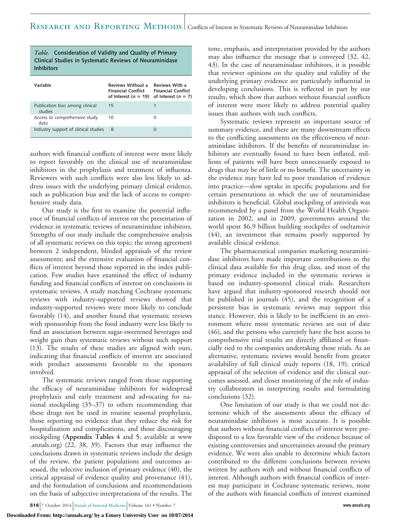| <i>Table.</i> Consideration of Validity and Quality of Primary<br>Clinical Studies in Systematic Reviews of Neuraminidase<br><b>Inhibitors</b> |                                                                          |                                                                      |
|------------------------------------------------------------------------------------------------------------------------------------------------|--------------------------------------------------------------------------|----------------------------------------------------------------------|
| Variable                                                                                                                                       | Reviews Without a<br><b>Financial Conflict</b><br>of Interest $(n = 19)$ | Reviews With a<br><b>Financial Conflict</b><br>of Interest $(n = 7)$ |
| Publication bias among clinical<br>studies                                                                                                     | 15                                                                       | 1                                                                    |
| Access to comprehensive study<br>data                                                                                                          | 10                                                                       | Ω                                                                    |
| Industry support of clinical studies                                                                                                           | 8                                                                        | 0                                                                    |

authors with financial conflicts of interest were more likely to report favorably on the clinical use of neuraminidase inhibitors in the prophylaxis and treatment of influenza. Reviewers with such conflicts were also less likely to address issues with the underlying primary clinical evidence, such as publication bias and the lack of access to comprehensive study data.

Our study is the first to examine the potential influence of financial conflicts of interest on the presentation of evidence in systematic reviews of neuraminidase inhibitors. Strengths of our study include the comprehensive analysis of all systematic reviews on this topic; the strong agreement between 2 independent, blinded appraisals of the review assessments; and the extensive evaluation of financial conflicts of interest beyond those reported in the index publication. Few studies have examined the effect of industry funding and financial conflicts of interest on conclusions in systematic reviews. A study matching Cochrane systematic reviews with industry-supported reviews showed that industry-supported reviews were more likely to conclude favorably (14), and another found that systematic reviews with sponsorship from the food industry were less likely to find an association between sugar-sweetened beverages and weight gain than systematic reviews without such support (13). The results of these studies are aligned with ours, indicating that financial conflicts of interest are associated with product assessments favorable to the sponsors involved.

The systematic reviews ranged from those supporting the efficacy of neuraminidase inhibitors for widespread prophylaxis and early treatment and advocating for national stockpiling (35–37) to others recommending that these drugs not be used in routine seasonal prophylaxis, those reporting no evidence that they reduce the risk for hospitalization and complications, and those discouraging stockpiling (**Appendix Tables 4** and **5**, available at [www](http://www.annals.org) [.annals.org\)](http://www.annals.org) (22, 38, 39). Factors that may influence the conclusions drawn in systematic reviews include the design of the review, the patient populations and outcomes assessed, the selective inclusion of primary evidence (40), the critical appraisal of evidence quality and provenance (41), and the formulation of conclusions and recommendations on the basis of subjective interpretations of the results. The

results, which show that authors without financial conflicts of interest were more likely to address potential quality issues than authors with such conflicts. Systematic reviews represent an important source of summary evidence, and there are many downstream effects to the conflicting assessments on the effectiveness of neuraminidase inhibitors. If the benefits of neuraminidase inhibitors are eventually found to have been inflated, mil-

lions of patients will have been unnecessarily exposed to drugs that may be of little or no benefit. The uncertainty in the evidence may have led to poor translation of evidence into practice—slow uptake in specific populations and for certain presentations in which the use of neuraminidase inhibitors is beneficial. Global stockpiling of antivirals was recommended by a panel from the World Health Organization in 2002, and in 2009, governments around the world spent \$6.9 billion building stockpiles of oseltamivir (44), an investment that remains poorly supported by available clinical evidence.

tone, emphasis, and interpretation provided by the authors may also influence the message that is conveyed (32, 42, 43). In the case of neuraminidase inhibitors, it is possible that reviewer opinions on the quality and validity of the underlying primary evidence are particularly influential in developing conclusions. This is reflected in part by our

The pharmaceutical companies marketing neuraminidase inhibitors have made important contributions to the clinical data available for this drug class, and most of the primary evidence included in the systematic reviews is based on industry-sponsored clinical trials. Researchers have argued that industry-sponsored research should not be published in journals (45), and the recognition of a persistent bias in systematic reviews may support this stance. However, this is likely to be inefficient in an environment where most systematic reviews are out of date (46), and the persons who currently have the best access to comprehensive trial results are directly affiliated or financially tied to the companies undertaking those trials. As an alternative, systematic reviews would benefit from greater availability of full clinical study reports (18, 19), critical appraisal of the selection of evidence and the clinical outcomes assessed, and closer monitoring of the role of industry collaborators in interpreting results and formulating conclusions (32).

One limitation of our study is that we could not determine which of the assessments about the efficacy of neuraminidase inhibitors is most accurate. It is possible that authors without financial conflicts of interest were predisposed to a less favorable view of the evidence because of existing controversies and uncertainties around the primary evidence. We were also unable to determine which factors contributed to the different conclusions between reviews written by authors with and without financial conflicts of interest. Although authors with financial conflicts of interest may participate in Cochrane systematic reviews, none of the authors with financial conflicts of interest examined

**516** 7 October 2014 Annals of Internal Medicine Volume 161 • Number 7 **www.annals.org**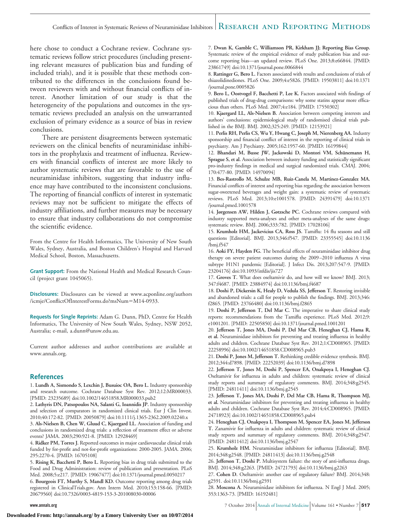#### Conflicts of Interest in Systematic Reviews of Neuraminidase Inhibitors RESEARCH AND REPORTING METHODS

here chose to conduct a Cochrane review. Cochrane systematic reviews follow strict procedures (including presenting relevant measures of publication bias and funding of included trials), and it is possible that these methods contributed to the differences in the conclusions found between reviewers with and without financial conflicts of interest. Another limitation of our study is that the heterogeneity of the populations and outcomes in the systematic reviews precluded an analysis on the unwarranted exclusion of primary evidence as a source of bias in review conclusions.

There are persistent disagreements between systematic reviewers on the clinical benefits of neuraminidase inhibitors in the prophylaxis and treatment of influenza. Reviewers with financial conflicts of interest are more likely to author systematic reviews that are favorable to the use of neuraminidase inhibitors, suggesting that industry influence may have contributed to the inconsistent conclusions. The reporting of financial conflicts of interest in systematic reviews may not be sufficient to mitigate the effects of industry affiliations, and further measures may be necessary to ensure that industry collaborations do not compromise the scientific evidence.

From the Centre for Health Informatics, The University of New South Wales, Sydney, Australia, and Boston Children's Hospital and Harvard Medical School, Boston, Massachusetts.

**Grant Support:** From the National Health and Medical Research Council (project grant 1045065).

**Disclosures:** Disclosures can be viewed at [www.acponline.org/authors](http://www.acponline.org/authors/icmje/ConflictOfInterestForms.do?msNum=M14-0933) [/icmje/ConflictOfInterestForms.do?msNum](http://www.acponline.org/authors/icmje/ConflictOfInterestForms.do?msNum=M14-0933)=M14-0933.

**Requests for Single Reprints:** Adam G. Dunn, PhD, Centre for Health Informatics, The University of New South Wales, Sydney, NSW 2052, Australia; e-mail, [a.dunn@unsw.edu.au.](mailto:a.dunn@unsw.edu.au)

Current author addresses and author contributions are available at [www.annals.org.](http://www.annals.org)

#### **References**

1. **Lundh A, Sismondo S, Lexchin J, Busuioc OA, Bero L.** Industry sponsorship and research outcome. Cochrane Database Syst Rev. 2012;12:MR000033. [PMID: 23235689] doi:10.1002/14651858.MR000033.pub2

2. **Lathyris DN, Patsopoulos NA, Salanti G, Ioannidis JP.** Industry sponsorship and selection of comparators in randomized clinical trials. Eur J Clin Invest. 2010;40:172-82. [PMID: 20050879] doi:10.1111/j.1365-2362.2009.02240.x

3. **Als-Nielsen B, Chen W, Gluud C, Kjaergard LL.** Association of funding and conclusions in randomized drug trials: a reflection of treatment effect or adverse events? JAMA. 2003;290:921-8. [PMID: 12928469]

4. **Ridker PM, Torres J.** Reported outcomes in major cardiovascular clinical trials funded by for-profit and not-for-profit organizations: 2000-2005. JAMA. 2006; 295:2270-4. [PMID: 16705108]

5. **Rising K, Bacchetti P, Bero L.** Reporting bias in drug trials submitted to the Food and Drug Administration: review of publication and presentation. PLoS Med. 2008;5:e217. [PMID: 19067477] doi:10.1371/journal.pmed.0050217

6. **Bourgeois FT, Murthy S, Mandl KD.** Outcome reporting among drug trials registered in ClinicalTrials.gov. Ann Intern Med. 2010;153:158-66. [PMID: 20679560] doi:10.7326/0003-4819-153-3-201008030-00006

7. **Dwan K, Gamble C, Williamson PR, Kirkham JJ; Reporting Bias Group.** Systematic review of the empirical evidence of study publication bias and outcome reporting bias—an updated review. PLoS One. 2013;8:e66844. [PMID: 23861749] doi:10.1371/journal.pone.0066844

8. **Rattinger G, Bero L.** Factors associated with results and conclusions of trials of thiazolidinediones. PLoS One. 2009;4:e5826. [PMID: 19503811] doi:10.1371 /journal.pone.0005826

9. **Bero L, Oostvogel F, Bacchetti P, Lee K.** Factors associated with findings of published trials of drug-drug comparisons: why some statins appear more efficacious than others. PLoS Med. 2007;4:e184. [PMID: 17550302]

10. **Kjaergard LL, Als-Nielsen B.** Association between competing interests and authors' conclusions: epidemiological study of randomised clinical trials published in the BMJ. BMJ. 2002;325:249. [PMID: 12153921]

11. **Perlis RH, Perlis CS, Wu Y, Hwang C, Joseph M, Nierenberg AA.** Industry sponsorship and financial conflict of interest in the reporting of clinical trials in psychiatry. Am J Psychiatry. 2005;162:1957-60. [PMID: 16199844]

12. Bhandari M, Busse JW, Jackowski D, Montori VM, Schünemann H, **Sprague S, et al.** Association between industry funding and statistically significant pro-industry findings in medical and surgical randomized trials. CMAJ. 2004; 170:477-80. [PMID: 14970094]

13. **Bes-Rastrollo M, Schulze MB, Ruiz-Canela M, Martinez-Gonzalez MA.** Financial conflicts of interest and reporting bias regarding the association between sugar-sweetened beverages and weight gain: a systematic review of systematic reviews. PLoS Med. 2013;10:e1001578. [PMID: 24391479] doi:10.1371 /journal.pmed.1001578

14. **Jørgensen AW, Hilden J, Gøtzsche PC.** Cochrane reviews compared with industry supported meta-analyses and other meta-analyses of the same drugs: systematic review. BMJ. 2006;333:782. [PMID: 17028106]

15. **Krumholz HM, Jackevicius CA, Ross JS.** Tamiflu: 14 flu seasons and still questions [Editorial]. BMJ. 2013;346:f547. [PMID: 23355545] doi:10.1136 /bmj.f547

16. **Aoki FY, Hayden FG.** The beneficial effects of neuraminidase inhibitor drug therapy on severe patient outcomes during the 2009 –2010 influenza A virus subtype H1N1 pandemic [Editorial]. J Infect Dis. 2013;207:547-9. [PMID: 23204176] doi:10.1093/infdis/jis727

17. **Groves T.** What does oseltamivir do, and how will we know? BMJ. 2013; 347:f4687. [PMID: 23884974] doi:10.1136/bmj.f4687

18. **Doshi P, Dickersin K, Healy D, Vedula SS, Jefferson T.** Restoring invisible and abandoned trials: a call for people to publish the findings. BMJ. 2013;346: f2865. [PMID: 23766480] doi:10.1136/bmj.f2865

19. **Doshi P, Jefferson T, Del Mar C.** The imperative to share clinical study reports: recommendations from the Tamiflu experience. PLoS Med. 2012;9: e1001201. [PMID: 22505850] doi:10.1371/journal.pmed.1001201

20. **Jefferson T, Jones MA, Doshi P, Del Mar CB, Heneghan CJ, Hama R, et al.** Neuraminidase inhibitors for preventing and treating influenza in healthy adults and children. Cochrane Database Syst Rev. 2012;1:CD008965. [PMID: 22258996] doi:10.1002/14651858.CD008965.pub3

21. **Doshi P, Jones M, Jefferson T.** Rethinking credible evidence synthesis. BMJ. 2012;344:d7898. [PMID: 22252039] doi:10.1136/bmj.d7898

22. **Jefferson T, Jones M, Doshi P, Spencer EA, Onakpoya I, Heneghan CJ.** Oseltamivir for influenza in adults and children: systematic review of clinical study reports and summary of regulatory comments. BMJ. 2014;348:g2545. [PMID: 24811411] doi:10.1136/bmj.g2545

23. **Jefferson T, Jones MA, Doshi P, Del Mar CB, Hama R, Thompson MJ, et al.** Neuraminidase inhibitors for preventing and treating influenza in healthy adults and children. Cochrane Database Syst Rev. 2014;4:CD008965. [PMID: 24718923] doi:10.1002/14651858.CD008965.pub4

24. **Heneghan CJ, Onakpoya I, Thompson M, Spencer EA, Jones M, Jefferson T.** Zanamivir for influenza in adults and children: systematic review of clinical study reports and summary of regulatory comments. BMJ. 2014;348:g2547. [PMID: 24811412] doi:10.1136/bmj.g2547

25. **Krumholz HM.** Neuraminidase inhibitors for influenza [Editorial]. BMJ. 2014;348:g2548. [PMID: 24811413] doi:10.1136/bmj.g2548

26. **Jefferson T, Doshi P.** Multisystem failure: the story of anti-influenza drugs. BMJ. 2014;348:g2263. [PMID: 24721793] doi:10.1136/bmj.g2263

27. **Cohen D.** Oseltamivir: another case of regulatory failure? BMJ. 2014;348: g2591. doi:10.1136/bmj.g2591

28. **Moscona A.** Neuraminidase inhibitors for influenza. N Engl J Med. 2005; 353:1363-73. [PMID: 16192481]

**www.annals.org** 7 October 2014 Annals of Internal Medicine Volume 161 • Number 7 **517**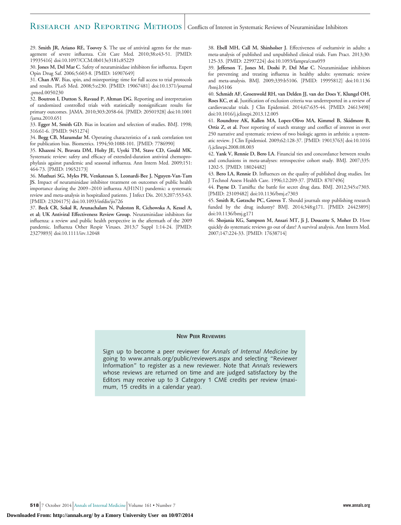#### RESEARCH AND REPORTING METHODS Conflicts of Interest in Systematic Reviews of Neuraminidase Inhibitors

29. **Smith JR, Ariano RE, Toovey S.** The use of antiviral agents for the management of severe influenza. Crit Care Med. 2010;38:e43-51. [PMID: 19935416] doi:10.1097/CCM.0b013e3181c85229

30. **Jones M, Del Mar C.** Safety of neuraminidase inhibitors for influenza. Expert Opin Drug Saf. 2006;5:603-8. [PMID: 16907649]

31. **Chan AW.** Bias, spin, and misreporting: time for full access to trial protocols and results. PLoS Med. 2008;5:e230. [PMID: 19067481] doi:10.1371/journal .pmed.0050230

32. **Boutron I, Dutton S, Ravaud P, Altman DG.** Reporting and interpretation of randomized controlled trials with statistically nonsignificant results for primary outcomes. JAMA. 2010;303:2058-64. [PMID: 20501928] doi:10.1001 /jama.2010.651

33. **Egger M, Smith GD.** Bias in location and selection of studies. BMJ. 1998; 316:61-6. [PMID: 9451274]

34. **Begg CB, Mazumdar M.** Operating characteristics of a rank correlation test for publication bias. Biometrics. 1994;50:1088-101. [PMID: 7786990]

35. **Khazeni N, Bravata DM, Holty JE, Uyeki TM, Stave CD, Gould MK.** Systematic review: safety and efficacy of extended-duration antiviral chemoprophylaxis against pandemic and seasonal influenza. Ann Intern Med. 2009;151: 464-73. [PMID: 19652173]

36. **Muthuri SG, Myles PR, Venkatesan S, Leonardi-Bee J, Nguyen-Van-Tam JS.** Impact of neuraminidase inhibitor treatment on outcomes of public health importance during the 2009 –2010 influenza A(H1N1) pandemic: a systematic review and meta-analysis in hospitalized patients. J Infect Dis. 2013;207:553-63. [PMID: 23204175] doi:10.1093/infdis/jis726

37. **Beck CR, Sokal R, Arunachalam N, Puleston R, Cichowska A, Kessel A, et al; UK Antiviral Effectiveness Review Group.** Neuraminidase inhibitors for influenza: a review and public health perspective in the aftermath of the 2009 pandemic. Influenza Other Respir Viruses. 2013;7 Suppl 1:14-24. [PMID: 23279893] doi:10.1111/irv.12048

38. **Ebell MH, Call M, Shinholser J.** Effectiveness of oseltamivir in adults: a meta-analysis of published and unpublished clinical trials. Fam Pract. 2013;30: 125-33. [PMID: 22997224] doi:10.1093/fampra/cms059

39. **Jefferson T, Jones M, Doshi P, Del Mar C.** Neuraminidase inhibitors for preventing and treating influenza in healthy adults: systematic review and meta-analysis. BMJ. 2009;339:b5106. [PMID: 19995812] doi:10.1136 /bmj.b5106

40. **Schmidt AF, Groenwold RH, van Delden JJ, van der Does Y, Klungel OH, Roes KC, et al.** Justification of exclusion criteria was underreported in a review of cardiovascular trials. J Clin Epidemiol. 2014;67:635-44. [PMID: 24613498] doi:10.1016/j.jclinepi.2013.12.005

41. **Roundtree AK, Kallen MA, Lopez-Olivo MA, Kimmel B, Skidmore B, Ortiz Z, et al.** Poor reporting of search strategy and conflict of interest in over 250 narrative and systematic reviews of two biologic agents in arthritis: a systematic review. J Clin Epidemiol. 2009;62:128-37. [PMID: 19013763] doi:10.1016 /j.jclinepi.2008.08.003

42. **Yank V, Rennie D, Bero LA.** Financial ties and concordance between results and conclusions in meta-analyses: retrospective cohort study. BMJ. 2007;335: 1202-5. [PMID: 18024482]

43. **Bero LA, Rennie D.** Influences on the quality of published drug studies. Int J Technol Assess Health Care. 1996;12:209-37. [PMID: 8707496]

44. **Payne D.** Tamiflu: the battle for secret drug data. BMJ. 2012;345:e7303. [PMID: 23109482] doi:10.1136/bmj.e7303

45. **Smith R, Gøtzsche PC, Groves T.** Should journals stop publishing research funded by the drug industry? BMJ. 2014;348:g171. [PMID: 24423895] doi:10.1136/bmj.g171

46. **Shojania KG, Sampson M, Ansari MT, Ji J, Doucette S, Moher D.** How quickly do systematic reviews go out of date? A survival analysis. Ann Intern Med. 2007;147:224-33. [PMID: 17638714]

#### **NEW PEER REVIEWERS**

Sign up to become a peer reviewer for *Annals of Internal Medicine* by going to www.annals.org/public/reviewers.aspx and selecting "Reviewer Information" to register as a new reviewer. Note that *Annals* reviewers whose reviews are returned on time and are judged satisfactory by the Editors may receive up to 3 Category 1 CME credits per review (maximum, 15 credits in a calendar year).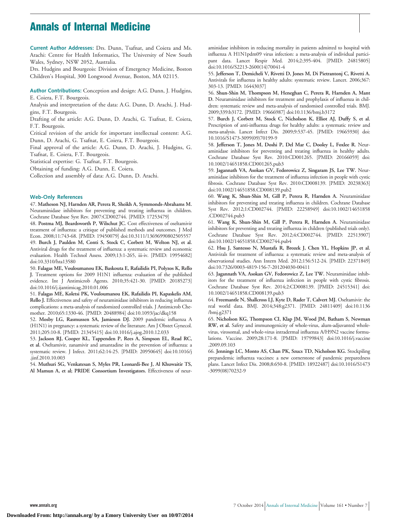# **Annals of Internal Medicine**

**Current Author Addresses:** Drs. Dunn, Tsafnat, and Coiera and Ms. Arachi: Centre for Health Informatics, The University of New South Wales, Sydney, NSW 2052, Australia.

Drs. Hudgins and Bourgeois: Division of Emergency Medicine, Boston Children's Hospital, 300 Longwood Avenue, Boston, MA 02115.

**Author Contributions:** Conception and design: A.G. Dunn, J. Hudgins, E. Coiera, F.T. Bourgeois.

Analysis and interpretation of the data: A.G. Dunn, D. Arachi, J. Hudgins, F.T. Bourgeois.

Drafting of the article: A.G. Dunn, D. Arachi, G. Tsafnat, E. Coiera, F.T. Bourgeois.

Critical revision of the article for important intellectual content: A.G. Dunn, D. Arachi, G. Tsafnat, E. Coiera, F.T. Bourgeois.

Final approval of the article: A.G. Dunn, D. Arachi, J. Hudgins, G. Tsafnat, E. Coiera, F.T. Bourgeois.

Statistical expertise: G. Tsafnat, F.T. Bourgeois.

Obtaining of funding: A.G. Dunn, E. Coiera.

Collection and assembly of data: A.G. Dunn, D. Arachi.

#### **Web-Only References**

47. **Matheson NJ, Harnden AR, Perera R, Sheikh A, Symmonds-Abrahams M.** Neuraminidase inhibitors for preventing and treating influenza in children. Cochrane Database Syst Rev. 2007:CD002744. [PMID: 17253479]

48. **Postma MJ, Beardsworth P, Wilschut JC.** Cost effectiveness of oseltamivir treatment of influenza: a critique of published methods and outcomes. J Med Econ. 2008;11:743-68. [PMID: 19450079] doi:10.3111/13696990802505557 49. **Burch J, Paulden M, Conti S, Stock C, Corbett M, Welton NJ, et al.** Antiviral drugs for the treatment of influenza: a systematic review and economic evaluation. Health Technol Assess. 2009;13:1-265, iii-iv. [PMID: 19954682] doi:10.3310/hta13580

50. **Falagas ME, Vouloumanou EK, Baskouta E, Rafailidis PI, Polyzos K, Rello J.** Treatment options for 2009 H1N1 influenza: evaluation of the published evidence. Int J Antimicrob Agents. 2010;35:421-30. [PMID: 20185273] doi:10.1016/j.ijantimicag.2010.01.006

51. **Falagas ME, Koletsi PK, Vouloumanou EK, Rafailidis PI, Kapaskelis AM, Rello J.** Effectiveness and safety of neuraminidase inhibitors in reducing influenza complications: a meta-analysis of randomized controlled trials. J Antimicrob Chemother. 2010;65:1330-46. [PMID: 20488984] doi:10.1093/jac/dkq158

52. **Mosby LG, Rasmussen SA, Jamieson DJ.** 2009 pandemic influenza A (H1N1) in pregnancy: a systematic review of the literature. Am J Obstet Gynecol. 2011;205:10-8. [PMID: 21345415] doi:10.1016/j.ajog.2010.12.033

53. **Jackson RJ, Cooper KL, Tappenden P, Rees A, Simpson EL, Read RC, et al.** Oseltamivir, zanamivir and amantadine in the prevention of influenza: a systematic review. J Infect. 2011;62:14-25. [PMID: 20950645] doi:10.1016/j .jinf.2010.10.003

54. **Muthuri SG, Venkatesan S, Myles PR, Leonardi-Bee J, Al Khuwaitir TS, Al Mamun A, et al; PRIDE Consortium Investigators.** Effectiveness of neur-

aminidase inhibitors in reducing mortality in patients admitted to hospital with influenza A H1N1pdm09 virus infection: a meta-analysis of individual participant data. Lancet Respir Med. 2014;2:395-404. [PMID: 24815805] doi:10.1016/S2213-2600(14)70041-4

55. **Jefferson T, Demicheli V, Rivetti D, Jones M, Di Pietrantonj C, Rivetti A.** Antivirals for influenza in healthy adults: systematic review. Lancet. 2006;367: 303-13. [PMID: 16443037]

56. **Shun-Shin M, Thompson M, Heneghan C, Perera R, Harnden A, Mant D.** Neuraminidase inhibitors for treatment and prophylaxis of influenza in children: systematic review and meta-analysis of randomised controlled trials. BMJ. 2009;339:b3172. [PMID: 19666987] doi:10.1136/bmj.b3172

57. **Burch J, Corbett M, Stock C, Nicholson K, Elliot AJ, Duffy S, et al.** Prescription of anti-influenza drugs for healthy adults: a systematic review and meta-analysis. Lancet Infect Dis. 2009;9:537-45. [PMID: 19665930] doi: 10.1016/S1473-3099(09)70199-9

58. **Jefferson T, Jones M, Doshi P, Del Mar C, Dooley L, Foxlee R.** Neuraminidase inhibitors for preventing and treating influenza in healthy adults. Cochrane Database Syst Rev. 2010:CD001265. [PMID: 20166059] doi: 10.1002/14651858.CD001265.pub3

59. **Jagannath VA, Asokan GV, Fedorowicz Z, Singaram JS, Lee TW.** Neuraminidase inhibitors for the treatment of influenza infection in people with cystic fibrosis. Cochrane Database Syst Rev. 2010:CD008139. [PMID: 20238363] doi:10.1002/14651858.CD008139.pub2

60. **Wang K, Shun-Shin M, Gill P, Perera R, Harnden A.** Neuraminidase inhibitors for preventing and treating influenza in children. Cochrane Database Syst Rev. 2012;1:CD002744. [PMID: 22258949] doi:10.1002/14651858 .CD002744.pub3

61. **Wang K, Shun-Shin M, Gill P, Perera R, Harnden A.** Neuraminidase inhibitors for preventing and treating influenza in children (published trials only). Cochrane Database Syst Rev. 2012;4:CD002744. [PMID: 22513907] doi:10.1002/14651858.CD002744.pub4

62. **Hsu J, Santesso N, Mustafa R, Brozek J, Chen YL, Hopkins JP, et al.** Antivirals for treatment of influenza: a systematic review and meta-analysis of observational studies. Ann Intern Med. 2012;156:512-24. [PMID: 22371849] doi:10.7326/0003-4819-156-7-201204030-00411

63. **Jagannath VA, Asokan GV, Fedorowicz Z, Lee TW.** Neuraminidase inhibitors for the treatment of influenza infection in people with cystic fibrosis. Cochrane Database Syst Rev. 2014;2:CD008139. [PMID: 24515341] doi: 10.1002/14651858.CD008139.pub3

64. **Freemantle N, Shallcross LJ, Kyte D, Rader T, Calvert MJ.** Oseltamivir: the real world data. BMJ. 2014;348:g2371. [PMID: 24811409] doi:10.1136 /bmj.g2371

65. **Nicholson KG, Thompson CI, Klap JM, Wood JM, Batham S, Newman RW, et al.** Safety and immunogenicity of whole-virus, alum-adjuvanted wholevirus, virosomal, and whole-virus intradermal influenza A/H9N2 vaccine formulations. Vaccine. 2009;28:171-8. [PMID: 19799843] doi:10.1016/j.vaccine .2009.09.103

66. **Jennings LC, Monto AS, Chan PK, Szucs TD, Nicholson KG.** Stockpiling prepandemic influenza vaccines: a new cornerstone of pandemic preparedness plans. Lancet Infect Dis. 2008;8:650-8. [PMID: 18922487] doi:10.1016/S1473 -3099(08)70232-9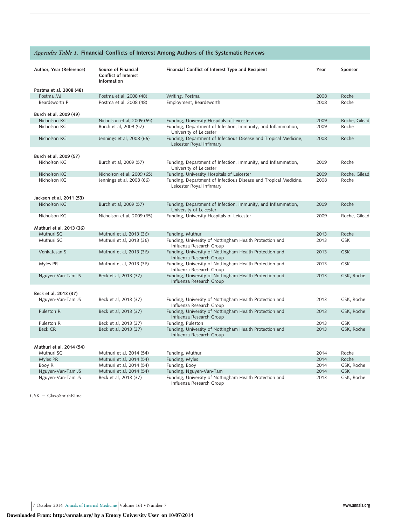|                                        |                                                                          | Appendix Table 1. Financial Conflicts of Interest Among Authors of the Systematic Reviews     |      |               |
|----------------------------------------|--------------------------------------------------------------------------|-----------------------------------------------------------------------------------------------|------|---------------|
| Author, Year (Reference)               | Source of Financial<br><b>Conflict of Interest</b><br><b>Information</b> | Financial Conflict of Interest Type and Recipient                                             | Year | Sponsor       |
| Postma et al, 2008 (48)                |                                                                          |                                                                                               |      |               |
| Postma MJ                              | Postma et al, 2008 (48)                                                  | Writing, Postma                                                                               | 2008 | Roche         |
| Beardsworth P                          | Postma et al, 2008 (48)                                                  | Employment, Beardsworth                                                                       | 2008 | Roche         |
| Burch et al, 2009 (49)                 |                                                                          |                                                                                               |      |               |
| Nicholson KG                           | Nicholson et al, 2009 (65)                                               | Funding, University Hospitals of Leicester                                                    | 2009 | Roche, Gilead |
| Nicholson KG                           | Burch et al, 2009 (57)                                                   | Funding, Department of Infection, Immunity, and Inflammation,<br>University of Leicester      | 2009 | Roche         |
| Nicholson KG                           | Jennings et al, 2008 (66)                                                | Funding, Department of Infectious Disease and Tropical Medicine,<br>Leicester Royal Infirmary | 2008 | Roche         |
| Burch et al, 2009 (57)                 |                                                                          |                                                                                               |      |               |
| Nicholson KG                           | Burch et al, 2009 (57)                                                   | Funding, Department of Infection, Immunity, and Inflammation,<br>University of Leicester      | 2009 | Roche         |
| Nicholson KG                           | Nicholson et al, 2009 (65)                                               | Funding, University Hospitals of Leicester                                                    | 2009 | Roche, Gilead |
| Nicholson KG                           | Jennings et al, 2008 (66)                                                | Funding, Department of Infectious Disease and Tropical Medicine,<br>Leicester Royal Infirmary | 2008 | Roche         |
| Jackson et al, 2011 (53)               |                                                                          |                                                                                               |      |               |
| Nicholson KG                           | Burch et al, 2009 (57)                                                   | Funding, Department of Infection, Immunity, and Inflammation,<br>University of Leicester      | 2009 | Roche         |
| Nicholson KG                           | Nicholson et al, 2009 (65)                                               | Funding, University Hospitals of Leicester                                                    | 2009 | Roche, Gilead |
| Muthuri et al, 2013 (36)               |                                                                          |                                                                                               |      |               |
| Muthuri SG                             | Muthuri et al, 2013 (36)                                                 | Funding, Muthuri                                                                              | 2013 | Roche         |
| Muthuri SG                             | Muthuri et al, 2013 (36)                                                 | Funding, University of Nottingham Health Protection and<br>Influenza Research Group           | 2013 | <b>GSK</b>    |
| Venkatesan S                           | Muthuri et al, 2013 (36)                                                 | Funding, University of Nottingham Health Protection and<br>Influenza Research Group           | 2013 | <b>GSK</b>    |
| Myles PR                               | Muthuri et al, 2013 (36)                                                 | Funding, University of Nottingham Health Protection and<br>Influenza Research Group           | 2013 | GSK           |
| Nguyen-Van-Tam JS                      | Beck et al, 2013 (37)                                                    | Funding, University of Nottingham Health Protection and<br>Influenza Research Group           | 2013 | GSK, Roche    |
|                                        |                                                                          |                                                                                               |      |               |
| Beck et al, 2013 (37)                  |                                                                          |                                                                                               |      |               |
| Nguyen-Van-Tam JS                      | Beck et al, 2013 (37)                                                    | Funding, University of Nottingham Health Protection and<br>Influenza Research Group           | 2013 | GSK, Roche    |
| Puleston R                             | Beck et al, 2013 (37)                                                    | Funding, University of Nottingham Health Protection and<br>Influenza Research Group           | 2013 | GSK, Roche    |
| Puleston R                             | Beck et al, 2013 (37)                                                    | Funding, Puleston                                                                             | 2013 | GSK           |
| <b>Beck CR</b>                         | Beck et al, 2013 (37)                                                    | Funding, University of Nottingham Health Protection and<br>Influenza Research Group           | 2013 | GSK, Roche    |
|                                        |                                                                          |                                                                                               |      |               |
| Muthuri et al, 2014 (54)<br>Muthuri SG | Muthuri et al, 2014 (54)                                                 | Funding, Muthuri                                                                              | 2014 | Roche         |
| Myles PR                               | Muthuri et al, 2014 (54)                                                 | Funding, Myles                                                                                | 2014 | Roche         |
| Booy R                                 | Muthuri et al, 2014 (54)                                                 | Funding, Booy                                                                                 | 2014 | GSK, Roche    |
| Nguyen-Van-Tam JS                      | Muthuri et al, 2014 (54)                                                 | Funding, Nguyen-Van-Tam                                                                       | 2014 | <b>GSK</b>    |
| Nguyen-Van-Tam JS                      | Beck et al, 2013 (37)                                                    | Funding, University of Nottingham Health Protection and                                       | 2013 | GSK, Roche    |
|                                        |                                                                          | Influenza Research Group                                                                      |      |               |

 $GSK = GlaxoSmithKline.$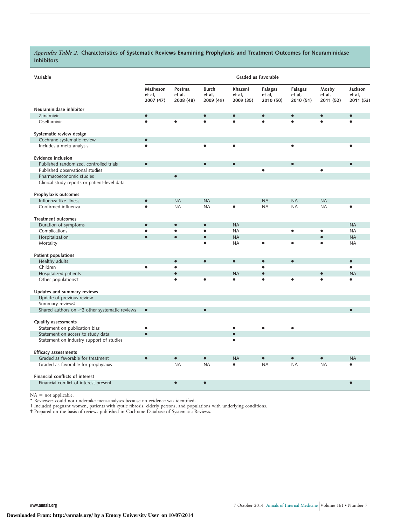*Appendix Table 2.* **Characteristics of Systematic Reviews Examining Prophylaxis and Treatment Outcomes for Neuraminidase Inhibitors**

| Variable                                            |                                 |                               |                                     |                                | Graded as Favorable            |                                |                              |                                |
|-----------------------------------------------------|---------------------------------|-------------------------------|-------------------------------------|--------------------------------|--------------------------------|--------------------------------|------------------------------|--------------------------------|
|                                                     | Matheson<br>et al,<br>2007 (47) | Postma<br>et al,<br>2008 (48) | <b>Burch</b><br>et al,<br>2009 (49) | Khazeni<br>et al,<br>2009 (35) | Falagas<br>et al,<br>2010 (50) | Falagas<br>et al,<br>2010 (51) | Mosby<br>et al,<br>2011 (52) | Jackson<br>et al,<br>2011 (53) |
| Neuraminidase inhibitor                             |                                 |                               |                                     |                                |                                |                                |                              |                                |
| Zanamivir                                           | $\bullet$                       |                               |                                     |                                |                                | $\bullet$                      |                              |                                |
| Oseltamivir                                         | $\bullet$                       |                               |                                     |                                |                                |                                |                              |                                |
| Systematic review design                            |                                 |                               |                                     |                                |                                |                                |                              |                                |
| Cochrane systematic review                          | $\bullet$                       |                               |                                     |                                |                                |                                |                              |                                |
| Includes a meta-analysis                            | $\bullet$                       |                               | ٠                                   |                                |                                | $\bullet$                      |                              |                                |
| <b>Evidence inclusion</b>                           |                                 |                               |                                     |                                |                                |                                |                              |                                |
| Published randomized, controlled trials             | $\bullet$                       |                               | $\bullet$                           |                                |                                | $\bullet$                      |                              |                                |
| Published observational studies                     |                                 |                               |                                     |                                | $\bullet$                      |                                |                              |                                |
| Pharmacoeconomic studies                            |                                 | $\bullet$                     |                                     |                                |                                |                                |                              |                                |
| Clinical study reports or patient-level data        |                                 |                               |                                     |                                |                                |                                |                              |                                |
| Prophylaxis outcomes                                |                                 |                               |                                     |                                |                                |                                |                              |                                |
| Influenza-like illness                              | $\bullet$                       | <b>NA</b>                     | <b>NA</b>                           |                                | <b>NA</b>                      | <b>NA</b>                      | <b>NA</b>                    |                                |
| Confirmed influenza                                 | ō                               | <b>NA</b>                     | <b>NA</b>                           |                                | <b>NA</b>                      | <b>NA</b>                      | <b>NA</b>                    | $\bullet$                      |
| <b>Treatment outcomes</b>                           |                                 |                               |                                     |                                |                                |                                |                              |                                |
| Duration of symptoms                                | $\bullet$                       | $\bullet$                     | $\bullet$                           | <b>NA</b>                      |                                |                                |                              | <b>NA</b>                      |
| Complications                                       | $\bullet$                       | $\bullet$                     | $\bullet$                           | <b>NA</b>                      |                                | $\bullet$                      | $\bullet$                    | <b>NA</b>                      |
| Hospitalization                                     | $\bullet$                       | $\bullet$                     | $\bullet$                           | <b>NA</b>                      |                                |                                | $\bullet$                    | <b>NA</b>                      |
| Mortality                                           |                                 |                               |                                     | <b>NA</b>                      | $\bullet$                      | $\bullet$                      |                              | <b>NA</b>                      |
| Patient populations                                 |                                 |                               |                                     |                                |                                |                                |                              |                                |
| Healthy adults                                      |                                 | $\bullet$                     | $\bullet$                           | $\bullet$                      | $\bullet$                      | $\bullet$                      |                              | $\bullet$                      |
| Children                                            | $\bullet$                       | $\bullet$                     |                                     |                                | $\bullet$                      |                                |                              | $\bullet$                      |
| Hospitalized patients                               |                                 | $\bullet$                     |                                     | <b>NA</b>                      | $\bullet$                      |                                | $\bullet$                    | <b>NA</b>                      |
| Other populationst                                  |                                 |                               |                                     |                                | $\bullet$                      |                                |                              | $\bullet$                      |
| Updates and summary reviews                         |                                 |                               |                                     |                                |                                |                                |                              |                                |
| Update of previous review<br>Summary review‡        |                                 |                               |                                     |                                |                                |                                |                              |                                |
| Shared authors on $\geq$ 2 other systematic reviews | $\bullet$                       |                               | $\bullet$                           |                                |                                |                                |                              | $\bullet$                      |
|                                                     |                                 |                               |                                     |                                |                                |                                |                              |                                |
| Quality assessments                                 |                                 |                               |                                     |                                |                                |                                |                              |                                |
| Statement on publication bias                       | $\bullet$                       |                               |                                     |                                |                                | ٠                              |                              |                                |
| Statement on access to study data                   | $\bullet$                       |                               |                                     |                                |                                |                                |                              |                                |
| Statement on industry support of studies            |                                 |                               |                                     |                                |                                |                                |                              |                                |
| <b>Efficacy assessments</b>                         |                                 |                               |                                     |                                |                                |                                |                              |                                |
| Graded as favorable for treatment                   | $\bullet$                       | $\bullet$                     | $\bullet$                           | <b>NA</b>                      | $\bullet$                      | $\bullet$                      | $\bullet$                    | <b>NA</b>                      |
| Graded as favorable for prophylaxis                 |                                 | <b>NA</b>                     | <b>NA</b>                           | ٠                              | <b>NA</b>                      | <b>NA</b>                      | <b>NA</b>                    | ٠                              |
| Financial conflicts of interest                     |                                 |                               |                                     |                                |                                |                                |                              |                                |
| Financial conflict of interest present              |                                 | $\bullet$                     | $\bullet$                           |                                |                                |                                |                              | $\bullet$                      |

NA - not applicable. \* Reviewers could not undertake meta-analyses because no evidence was identified.

† Included pregnant women, patients with cystic fibrosis, elderly persons, and populations with underlying conditions.

‡ Prepared on the basis of reviews published in Cochrane Database of Systematic Reviews.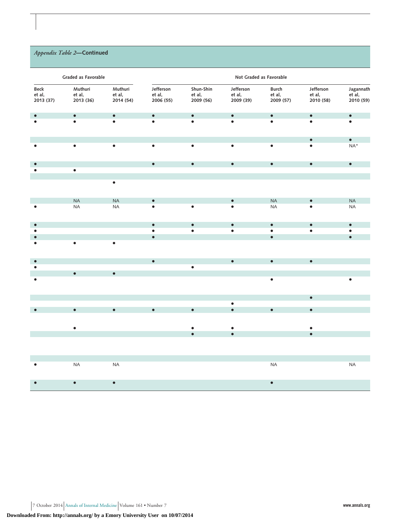### *Appendix Table 2***—Continued**

|                             | Graded as Favorable            |                                |                                  |                                  |                                  | Not Graded as Favorable      |                                  |                                  |
|-----------------------------|--------------------------------|--------------------------------|----------------------------------|----------------------------------|----------------------------------|------------------------------|----------------------------------|----------------------------------|
| Beck<br>et al,<br>2013 (37) | Muthuri<br>et al,<br>2013 (36) | Muthuri<br>et al,<br>2014 (54) | Jefferson<br>et al,<br>2006 (55) | Shun-Shin<br>et al,<br>2009 (56) | Jefferson<br>et al,<br>2009 (39) | Burch<br>et al,<br>2009 (57) | Jefferson<br>et al,<br>2010 (58) | Jagannath<br>et al,<br>2010 (59) |
|                             | $\bullet$                      | $\bullet$                      | $\bullet$                        | $\bullet$                        | $\bullet$                        | $\bullet$                    | $\bullet$                        | $\bullet$                        |
|                             |                                | $\bullet$                      | $\bullet$                        | $\bullet$                        |                                  | $\bullet$                    | $\bullet$                        | $\bullet$                        |
|                             |                                |                                |                                  |                                  |                                  |                              | $\bullet$                        | $\bullet$                        |
|                             | $\bullet$                      | $\bullet$                      | $\bullet$                        | $\bullet$                        | $\bullet$                        | $\bullet$                    | $\bullet$                        | $\mathsf{NA}^*$                  |
|                             |                                |                                | $\bullet$                        | $\bullet$                        | $\bullet$                        | $\bullet$                    | $\bullet$                        | $\bullet$                        |
|                             | $\bullet$                      |                                |                                  |                                  |                                  |                              |                                  |                                  |
|                             |                                | $\bullet$                      |                                  |                                  |                                  |                              |                                  |                                  |
|                             | NA                             | NA                             | $\bullet$                        |                                  | $\bullet$                        | $\sf NA$                     | $\bullet$                        | NA                               |
|                             | <b>NA</b>                      | <b>NA</b>                      | $\bullet$                        | $\bullet$                        |                                  | $\sf NA$                     | ċ                                | <b>NA</b>                        |
| $\bullet$                   |                                |                                | $\bullet$                        | $\bullet$                        | $\bullet$                        | $\bullet$                    | $\bullet$                        | $\bullet$                        |
|                             |                                |                                | $\bullet$                        | $\bullet$                        | $\bullet$                        | $\bullet$                    | $\bullet$                        | $\bullet$                        |
|                             | $\bullet$                      | $\bullet$                      | $\bullet$                        |                                  |                                  | $\bullet$                    |                                  | $\bullet$                        |
|                             |                                |                                | $\bullet$                        |                                  | $\bullet$                        | $\bullet$                    | $\bullet$                        |                                  |
| ٠                           |                                |                                |                                  | $\bullet$                        |                                  |                              |                                  |                                  |
|                             | $\bullet$                      | $\bullet$                      |                                  |                                  |                                  | $\bullet$                    |                                  |                                  |
|                             |                                |                                |                                  |                                  |                                  |                              | $\bullet$                        |                                  |
|                             |                                |                                |                                  |                                  | $\bullet$                        |                              |                                  |                                  |
|                             | $\bullet$                      | $\bullet$                      | $\bullet$                        | $\bullet$                        | $\bullet$                        | $\bullet$                    | $\bullet$                        |                                  |
|                             | $\bullet$                      |                                |                                  |                                  | $\bullet$                        |                              | $\bullet$                        |                                  |
|                             |                                |                                |                                  | $\bullet$<br>$\bullet$           | $\bullet$                        |                              | $\bullet$                        |                                  |
|                             |                                |                                |                                  |                                  |                                  |                              |                                  |                                  |
|                             | $\sf NA$                       | $\sf NA$                       |                                  |                                  |                                  | <b>NA</b>                    |                                  | <b>NA</b>                        |
|                             | $\bullet$                      | $\bullet$                      |                                  |                                  |                                  | $\bullet$                    |                                  |                                  |

7 October 2014 Annals of Internal Medicine Volume 161 • Number 7 **www.annals.org**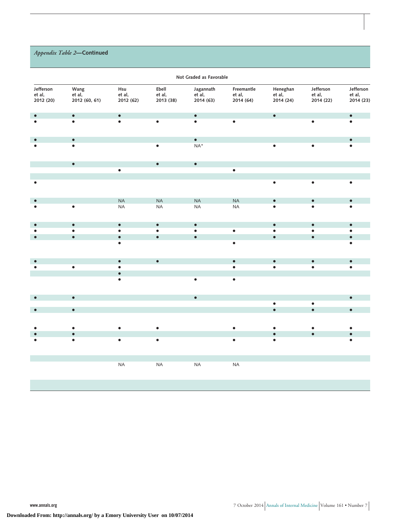## *Appendix Table 2***—Continued**

|                                  |                                 |                            |                              | Not Graded as Favorable          |                                   |                                 |                                  |                                  |
|----------------------------------|---------------------------------|----------------------------|------------------------------|----------------------------------|-----------------------------------|---------------------------------|----------------------------------|----------------------------------|
| Jefferson<br>et al,<br>2012 (20) | Wang<br>et al,<br>2012 (60, 61) | Hsu<br>et al,<br>2012 (62) | Ebell<br>et al,<br>2013 (38) | Jagannath<br>et al,<br>2014 (63) | Freemantle<br>et al,<br>2014 (64) | Heneghan<br>et al,<br>2014 (24) | Jefferson<br>et al,<br>2014 (22) | Jefferson<br>et al,<br>2014 (23) |
| $\bullet$                        | $\bullet$                       | $\bullet$                  |                              | $\bullet$                        |                                   | $\bullet$                       |                                  | $\bullet$                        |
|                                  | $\bullet$                       | $\bullet$                  | $\bullet$                    | $\bullet$                        | $\bullet$                         |                                 | $\bullet$                        |                                  |
| $\bullet$                        | $\bullet$                       |                            |                              | $\bullet$                        |                                   |                                 |                                  | $\bullet$                        |
|                                  | $\bullet$                       |                            | $\bullet$                    | $NA*$                            |                                   | $\bullet$                       | $\bullet$                        |                                  |
|                                  | $\bullet$                       |                            | $\bullet$                    | $\bullet$                        |                                   |                                 |                                  |                                  |
|                                  |                                 | $\bullet$                  |                              |                                  | $\bullet$                         |                                 |                                  |                                  |
|                                  |                                 |                            |                              |                                  |                                   | $\bullet$                       | $\bullet$                        |                                  |
|                                  |                                 | NA                         | NA                           | $\sf NA$                         | $\sf NA$                          | $\bullet$                       | $\bullet$                        | $\bullet$                        |
|                                  | $\bullet$                       | $\sf NA$                   | <b>NA</b>                    | NA                               | NA                                | $\bullet$                       | $\bullet$                        |                                  |
| $\bullet$                        | $\bullet$                       | $\bullet$                  | $\bullet$                    | $\bullet$                        |                                   | $\bullet$                       | $\bullet$                        | $\bullet$                        |
|                                  | $\bullet$                       | $\bullet$                  | $\bullet$                    | $\bullet$                        | $\bullet$                         | $\bullet$                       | $\bullet$                        | $\bullet$                        |
|                                  | $\bullet$                       | $\bullet$<br>$\bullet$     | $\bullet$                    | $\bullet$                        | $\bullet$                         | $\bullet$                       | $\bullet$                        | $\bullet$                        |
|                                  |                                 | $\bullet$                  | $\bullet$                    |                                  | $\bullet$                         | $\bullet$                       | $\bullet$                        | $\bullet$                        |
|                                  | $\bullet$                       | $\bullet$                  |                              |                                  | $\bullet$                         | $\bullet$                       | $\bullet$                        | $\bullet$                        |
|                                  |                                 | $\bullet$<br>$\bullet$     |                              |                                  | $\bullet$                         |                                 |                                  |                                  |
| $\bullet$                        | $\bullet$                       |                            |                              | $\bullet$                        |                                   |                                 |                                  | $\bullet$                        |
| $\bullet$                        | $\bullet$                       |                            |                              |                                  |                                   | $\bullet$<br>$\bullet$          | $\bullet$<br>$\bullet$           | $\bullet$                        |
|                                  |                                 |                            |                              |                                  |                                   |                                 |                                  |                                  |
|                                  | $\bullet$                       | $\bullet$                  |                              |                                  |                                   |                                 |                                  |                                  |
|                                  | $\bullet$                       |                            |                              |                                  |                                   | $\bullet$                       | $\bullet$                        |                                  |
|                                  | $\bullet$                       | $\bullet$                  | $\bullet$                    |                                  | $\bullet$                         | $\bullet$                       |                                  |                                  |
|                                  |                                 | $\sf NA$                   | <b>NA</b>                    | $\sf NA$                         | <b>NA</b>                         |                                 |                                  |                                  |
|                                  |                                 |                            |                              |                                  |                                   |                                 |                                  |                                  |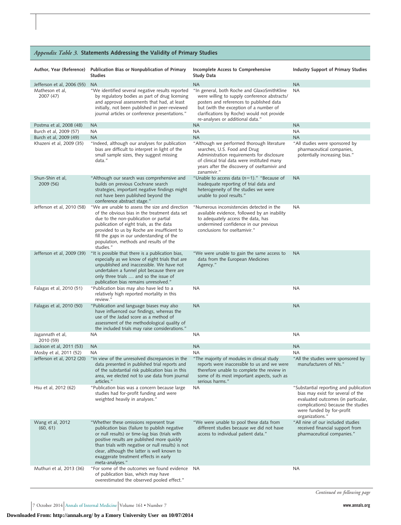|                               | <i>Ippendix Table 5.</i> Statements Addressing the validity of Filmary Studies                                                                                                                                                                                                                                                                            |                                                                                                                                                                                                                                                                     |                                                                                                                                                                                                         |
|-------------------------------|-----------------------------------------------------------------------------------------------------------------------------------------------------------------------------------------------------------------------------------------------------------------------------------------------------------------------------------------------------------|---------------------------------------------------------------------------------------------------------------------------------------------------------------------------------------------------------------------------------------------------------------------|---------------------------------------------------------------------------------------------------------------------------------------------------------------------------------------------------------|
| Author, Year (Reference)      | Publication Bias or Nonpublication of Primary<br><b>Studies</b>                                                                                                                                                                                                                                                                                           | Incomplete Access to Comprehensive<br><b>Study Data</b>                                                                                                                                                                                                             | Industry Support of Primary Studies                                                                                                                                                                     |
| Jefferson et al, 2006 (55)    | <b>NA</b>                                                                                                                                                                                                                                                                                                                                                 | <b>NA</b>                                                                                                                                                                                                                                                           | <b>NA</b>                                                                                                                                                                                               |
| Matheson et al,<br>2007 (47)  | "We identified several negative results reported<br>by regulatory bodies as part of drug licensing<br>and approval assessments that had, at least<br>initially, not been published in peer-reviewed<br>journal articles or conference presentations."                                                                                                     | "In general, both Roche and GlaxoSmithKline<br>were willing to supply conference abstracts/<br>posters and references to published data<br>but (with the exception of a number of<br>clarifications by Roche) would not provide<br>re-analyses or additional data." | <b>NA</b>                                                                                                                                                                                               |
| Postma et al, 2008 (48)       | <b>NA</b>                                                                                                                                                                                                                                                                                                                                                 | <b>NA</b>                                                                                                                                                                                                                                                           | <b>NA</b>                                                                                                                                                                                               |
| Burch et al, 2009 (57)        | <b>NA</b>                                                                                                                                                                                                                                                                                                                                                 | <b>NA</b>                                                                                                                                                                                                                                                           | <b>NA</b>                                                                                                                                                                                               |
| Burch et al, 2009 (49)        | <b>NA</b>                                                                                                                                                                                                                                                                                                                                                 | <b>NA</b>                                                                                                                                                                                                                                                           | <b>NA</b>                                                                                                                                                                                               |
| Khazeni et al, 2009 (35)      | "Indeed, although our analyses for publication<br>bias are difficult to interpret in light of the<br>small sample sizes, they suggest missing<br>data."                                                                                                                                                                                                   | "Although we performed thorough literature<br>searches, U.S. Food and Drug<br>Administration requirements for disclosure<br>of clinical trial data were instituted many<br>years after the discovery of oseltamivir and<br>zanamivir."                              | "All studies were sponsored by<br>pharmaceutical companies,<br>potentially increasing bias."                                                                                                            |
| Shun-Shin et al,<br>2009 (56) | "Although our search was comprehensive and<br>builds on previous Cochrane search<br>strategies, important negative findings might<br>not have been published beyond the<br>conference abstract stage."                                                                                                                                                    | "Unable to access data (n=1)." "Because of<br>inadequate reporting of trial data and<br>heterogeneity of the studies we were<br>unable to pool results."                                                                                                            | <b>NA</b>                                                                                                                                                                                               |
| Jefferson et al, 2010 (58)    | "We are unable to assess the size and direction<br>of the obvious bias in the treatment data set<br>due to the non-publication or partial<br>publication of eight trials, as the data<br>provided to us by Roche are insufficient to<br>fill the gaps in our understanding of the<br>population, methods and results of the<br>studies."                  | "Numerous inconsistencies detected in the<br>available evidence, followed by an inability<br>to adequately access the data, has<br>undermined confidence in our previous<br>conclusions for oseltamivir."                                                           | <b>NA</b>                                                                                                                                                                                               |
| Jefferson et al, 2009 (39)    | "It is possible that there is a publication bias,<br>especially as we know of eight trials that are<br>unpublished and inaccessible. We have not<br>undertaken a funnel plot because there are<br>only three trials  and so the issue of<br>publication bias remains unresolved."                                                                         | "We were unable to gain the same access to<br>data from the European Medicines<br>Agency."                                                                                                                                                                          | <b>NA</b>                                                                                                                                                                                               |
| Falagas et al, 2010 (51)      | "Publication bias may also have led to a<br>relatively high reported mortality in this<br>review."                                                                                                                                                                                                                                                        | <b>NA</b>                                                                                                                                                                                                                                                           | <b>NA</b>                                                                                                                                                                                               |
| Falagas et al, 2010 (50)      | "Publication and language biases may also<br>have influenced our findings, whereas the<br>use of the Jadad score as a method of<br>assessment of the methodological quality of<br>the included trials may raise considerations."                                                                                                                          | <b>NA</b>                                                                                                                                                                                                                                                           | <b>NA</b>                                                                                                                                                                                               |
| Jagannath et al,<br>2010 (59) | <b>NA</b>                                                                                                                                                                                                                                                                                                                                                 | <b>NA</b>                                                                                                                                                                                                                                                           | <b>NA</b>                                                                                                                                                                                               |
| Jackson et al, 2011 (53)      | <b>NA</b>                                                                                                                                                                                                                                                                                                                                                 | <b>NA</b>                                                                                                                                                                                                                                                           | <b>NA</b>                                                                                                                                                                                               |
| Mosby et al, 2011 (52)        | <b>NA</b>                                                                                                                                                                                                                                                                                                                                                 | <b>NA</b>                                                                                                                                                                                                                                                           | <b>NA</b>                                                                                                                                                                                               |
| Jefferson et al, 2012 (20)    | "In view of the unresolved discrepancies in the<br>data presented in published trial reports and<br>of the substantial risk publication bias in this<br>area, we elected not to use data from journal<br>articles."                                                                                                                                       | "The majority of modules in clinical study<br>reports were inaccessible to us and we were<br>therefore unable to complete the review in<br>some of its most important aspects, such as<br>serious harms."                                                           | "All the studies were sponsored by<br>manufacturers of NIs."                                                                                                                                            |
| Hsu et al, 2012 (62)          | "Publication bias was a concern because large<br>studies had for-profit funding and were<br>weighted heavily in analyses."                                                                                                                                                                                                                                | <b>NA</b>                                                                                                                                                                                                                                                           | "Substantial reporting and publication<br>bias may exist for several of the<br>evaluated outcomes (in particular,<br>complications) because the studies<br>were funded by for-profit<br>organizations." |
| Wang et al, 2012<br>(60, 61)  | "Whether these omissions represent true<br>publication bias (failure to publish negative<br>or null results) or time-lag bias (trials with<br>positive results are published more quickly<br>than trials with negative or null results) is not<br>clear, although the latter is well known to<br>exaggerate treatment effects in early<br>meta-analyses." | "We were unable to pool these data from<br>different studies because we did not have<br>access to individual patient data."                                                                                                                                         | "All nine of our included studies<br>received financial support from<br>pharmaceutical companies."                                                                                                      |
| Muthuri et al, 2013 (36)      | "For some of the outcomes we found evidence NA<br>of publication bias, which may have<br>overestimated the observed pooled effect."                                                                                                                                                                                                                       |                                                                                                                                                                                                                                                                     | <b>NA</b>                                                                                                                                                                                               |

*Appendix Table 3.* **Statements Addressing the Validity of Primary Studies**

*Continued on following page*

7 October 2014 Annals of Internal Medicine Volume 161 • Number 7 **www.annals.org**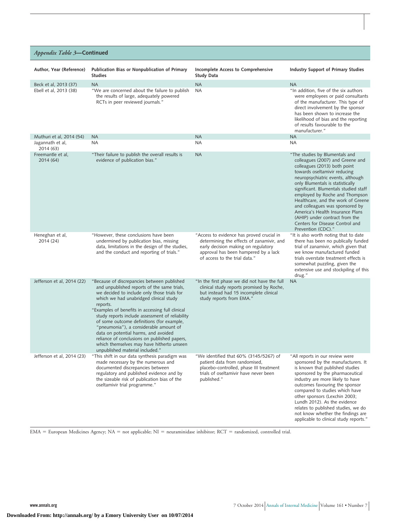#### *Appendix Table 3***—Continued**

| Author, Year (Reference)       | Publication Bias or Nonpublication of Primary<br><b>Studies</b>                                                                                                                                                                                                                                                                                                                                                                                                                                                                                                       | Incomplete Access to Comprehensive<br><b>Study Data</b>                                                                                                                                                | Industry Support of Primary Studies                                                                                                                                                                                                                                                                                                                                                                                                                                                            |
|--------------------------------|-----------------------------------------------------------------------------------------------------------------------------------------------------------------------------------------------------------------------------------------------------------------------------------------------------------------------------------------------------------------------------------------------------------------------------------------------------------------------------------------------------------------------------------------------------------------------|--------------------------------------------------------------------------------------------------------------------------------------------------------------------------------------------------------|------------------------------------------------------------------------------------------------------------------------------------------------------------------------------------------------------------------------------------------------------------------------------------------------------------------------------------------------------------------------------------------------------------------------------------------------------------------------------------------------|
| Beck et al, 2013 (37)          | <b>NA</b>                                                                                                                                                                                                                                                                                                                                                                                                                                                                                                                                                             | <b>NA</b>                                                                                                                                                                                              | <b>NA</b>                                                                                                                                                                                                                                                                                                                                                                                                                                                                                      |
| Ebell et al, 2013 (38)         | "We are concerned about the failure to publish<br>the results of large, adequately powered<br>RCTs in peer reviewed journals."                                                                                                                                                                                                                                                                                                                                                                                                                                        | <b>NA</b>                                                                                                                                                                                              | "In addition, five of the six authors<br>were employees or paid consultants<br>of the manufacturer. This type of<br>direct involvement by the sponsor<br>has been shown to increase the<br>likelihood of bias and the reporting<br>of results favourable to the<br>manufacturer."                                                                                                                                                                                                              |
| Muthuri et al, 2014 (54)       | <b>NA</b>                                                                                                                                                                                                                                                                                                                                                                                                                                                                                                                                                             | <b>NA</b>                                                                                                                                                                                              | <b>NA</b>                                                                                                                                                                                                                                                                                                                                                                                                                                                                                      |
| Jagannath et al,<br>2014 (63)  | NA                                                                                                                                                                                                                                                                                                                                                                                                                                                                                                                                                                    | <b>NA</b>                                                                                                                                                                                              | ΝA                                                                                                                                                                                                                                                                                                                                                                                                                                                                                             |
| Freemantle et al,<br>2014 (64) | "Their failure to publish the overall results is<br>evidence of publication bias."                                                                                                                                                                                                                                                                                                                                                                                                                                                                                    | <b>NA</b>                                                                                                                                                                                              | "The studies by Blumentals and<br>colleagues (2007) and Greene and<br>colleagues (2013) both point<br>towards oseltamivir reducing<br>neuropsychiatric events, although<br>only Blumentals is statistically<br>significant. Blumentals studied staff<br>employed by Roche and Thompson<br>Healthcare, and the work of Greene<br>and colleagues was sponsored by<br>America's Health Insurance Plans<br>(AHIP) under contract from the<br>Centers for Disease Control and<br>Prevention (CDC)." |
| Heneghan et al,<br>2014 (24)   | "However, these conclusions have been<br>undermined by publication bias, missing<br>data, limitations in the design of the studies,<br>and the conduct and reporting of trials."                                                                                                                                                                                                                                                                                                                                                                                      | "Access to evidence has proved crucial in<br>determining the effects of zanamivir, and<br>early decision making on regulatory<br>approval has been hampered by a lack<br>of access to the trial data." | "It is also worth noting that to date<br>there has been no publically funded<br>trial of zanamivir, which given that<br>we know manufactured funded<br>trials overstate treatment effects is<br>somewhat puzzling, given the<br>extensive use and stockpiling of this<br>drug."                                                                                                                                                                                                                |
| Jefferson et al, 2014 (22)     | "Because of discrepancies between published<br>and unpublished reports of the same trials,<br>we decided to include only those trials for<br>which we had unabridged clinical study<br>reports.<br>"Examples of benefits in accessing full clinical<br>study reports include assessment of reliability<br>of some outcome definitions (for example,<br>"pneumonia"), a considerable amount of<br>data on potential harms, and avoided<br>reliance of conclusions on published papers,<br>which themselves may have hitherto unseen<br>unpublished material included." | "In the first phase we did not have the full"<br>clinical study reports promised by Roche,<br>but instead had 15 incomplete clinical<br>study reports from EMA."                                       | <b>NA</b>                                                                                                                                                                                                                                                                                                                                                                                                                                                                                      |
| Jefferson et al, 2014 (23)     | "This shift in our data synthesis paradigm was<br>made necessary by the numerous and<br>documented discrepancies between<br>regulatory and published evidence and by<br>the sizeable risk of publication bias of the<br>oseltamivir trial programme."                                                                                                                                                                                                                                                                                                                 | "We identified that 60% (3145/5267) of<br>patient data from randomised,<br>placebo-controlled, phase III treatment<br>trials of oseltamivir have never been<br>published."                             | "All reports in our review were<br>sponsored by the manufacturers. It<br>is known that published studies<br>sponsored by the pharmaceutical<br>industry are more likely to have<br>outcomes favouring the sponsor<br>compared to studies which have<br>other sponsors (Lexchin 2003;<br>Lundh 2012). As the evidence<br>relates to published studies, we do<br>not know whether the findings are<br>applicable to clinical study reports."                                                     |

EMA = European Medicines Agency; NA = not applicable; NI = neuraminidase inhibitor; RCT = randomized, controlled trial.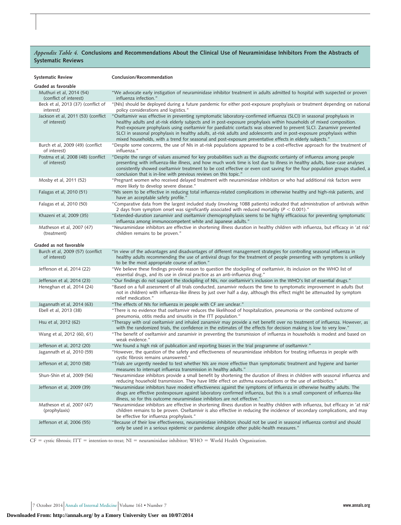#### *Appendix Table 4.* **Conclusions and Recommendations About the Clinical Use of Neuraminidase Inhibitors From the Abstracts of Systematic Reviews**

| <b>Systematic Review</b>                           | Conclusion/Recommendation                                                                                                                                                                                                                                                                                                                                                                                                                                                                                                                                                                                    |
|----------------------------------------------------|--------------------------------------------------------------------------------------------------------------------------------------------------------------------------------------------------------------------------------------------------------------------------------------------------------------------------------------------------------------------------------------------------------------------------------------------------------------------------------------------------------------------------------------------------------------------------------------------------------------|
| Graded as favorable                                |                                                                                                                                                                                                                                                                                                                                                                                                                                                                                                                                                                                                              |
| Muthuri et al. 2014 (54)<br>(conflict of interest) | "We advocate early instigation of neuraminidase inhibitor treatment in adults admitted to hospital with suspected or proven<br>influenza infection."                                                                                                                                                                                                                                                                                                                                                                                                                                                         |
| Beck et al, 2013 (37) (conflict of<br>interest)    | "[NIs] should be deployed during a future pandemic for either post-exposure prophylaxis or treatment depending on national<br>policy considerations and logistics."                                                                                                                                                                                                                                                                                                                                                                                                                                          |
| Jackson et al, 2011 (53) (conflict<br>of interest) | "Oseltamivir was effective in preventing symptomatic laboratory-confirmed influenza (SLCI) in seasonal prophylaxis in<br>healthy adults and at-risk elderly subjects and in post-exposure prophylaxis within households of mixed composition.<br>Post-exposure prophylaxis using oseltamivir for paediatric contacts was observed to prevent SLCI. Zanamivir prevented<br>SLCI in seasonal prophylaxis in healthy adults, at-risk adults and adolescents and in post-exposure prophylaxis within<br>mixed households, with a trend for seasonal and post-exposure preventative effects in elderly subjects." |
| Burch et al, 2009 (49) (conflict<br>of interest)   | "Despite some concerns, the use of NIs in at-risk populations appeared to be a cost-effective approach for the treatment of<br>influenza."                                                                                                                                                                                                                                                                                                                                                                                                                                                                   |
| Postma et al, 2008 (48) (conflict<br>of interest)  | "Despite the range of values assumed for key probabilities such as the diagnostic certainty of influenza among people<br>presenting with influenza-like illness, and how much work time is lost due to illness in healthy adults, base-case analyses<br>consistently showed oseltamivir treatment to be cost effective or even cost saving for the four population groups studied, a<br>conclusion that is in-line with previous reviews on this topic."                                                                                                                                                     |
| Mosby et al, 2011 (52)                             | "Pregnant women who received delayed treatment with neuraminidase inhibitors or who had additional risk factors were<br>more likely to develop severe disease."                                                                                                                                                                                                                                                                                                                                                                                                                                              |
| Falagas et al, 2010 (51)                           | "NIs seem to be effective in reducing total influenza-related complications in otherwise healthy and high-risk patients, and<br>have an acceptable safety profile."                                                                                                                                                                                                                                                                                                                                                                                                                                          |
| Falagas et al, 2010 (50)                           | "Comparative data from the largest included study (involving 1088 patients) indicated that administration of antivirals within<br>2 days from symptom onset was significantly associated with reduced mortality ( $P < 0.001$ )."                                                                                                                                                                                                                                                                                                                                                                            |
| Khazeni et al, 2009 (35)                           | "Extended-duration zanamivir and oseltamivir chemoprophylaxis seems to be highly efficacious for preventing symptomatic<br>influenza among immunocompetent white and Japanese adults."                                                                                                                                                                                                                                                                                                                                                                                                                       |
| Matheson et al, 2007 (47)<br>(treatment)           | "Neuraminidase inhibitors are effective in shortening illness duration in healthy children with influenza, but efficacy in 'at risk'<br>children remains to be proven."                                                                                                                                                                                                                                                                                                                                                                                                                                      |
| Graded as not favorable                            |                                                                                                                                                                                                                                                                                                                                                                                                                                                                                                                                                                                                              |
| Burch et al, 2009 (57) (conflict<br>of interest)   | "In view of the advantages and disadvantages of different management strategies for controlling seasonal influenza in<br>healthy adults recommending the use of antiviral drugs for the treatment of people presenting with symptoms is unlikely<br>to be the most appropriate course of action."                                                                                                                                                                                                                                                                                                            |
| Jefferson et al, 2014 (22)                         | "We believe these findings provide reason to question the stockpiling of oseltamivir, its inclusion on the WHO list of<br>essential drugs, and its use in clinical practice as an anti-influenza drug."                                                                                                                                                                                                                                                                                                                                                                                                      |
| Jefferson et al, 2014 (23)                         | "Our findings do not support the stockpiling of NIs, nor oseltamivir's inclusion in the WHO's list of essential drugs."                                                                                                                                                                                                                                                                                                                                                                                                                                                                                      |
| Heneghan et al, 2014 (24)                          | "Based on a full assessment of all trials conducted, zanamivir reduces the time to symptomatic improvement in adults (but<br>not in children) with influenza-like illness by just over half a day, although this effect might be attenuated by symptom<br>relief medication."                                                                                                                                                                                                                                                                                                                                |
| Jagannath et al, 2014 (63)                         | "The effects of NIs for influenza in people with CF are unclear."                                                                                                                                                                                                                                                                                                                                                                                                                                                                                                                                            |
| Ebell et al, 2013 (38)                             | "There is no evidence that oseltamivir reduces the likelihood of hospitalization, pneumonia or the combined outcome of<br>pneumonia, otitis media and sinusitis in the ITT population."                                                                                                                                                                                                                                                                                                                                                                                                                      |
| Hsu et al, 2012 (62)                               | "Therapy with oral oseltamivir and inhaled zanamivir may provide a net benefit over no treatment of influenza. However, as<br>with the randomized trials, the confidence in the estimates of the effects for decision making is low to very low."                                                                                                                                                                                                                                                                                                                                                            |
| Wang et al, 2012 (60, 61)                          | "The benefit of oseltamivir and zanamivir in preventing the transmission of influenza in households is modest and based on<br>weak evidence."                                                                                                                                                                                                                                                                                                                                                                                                                                                                |
| Jefferson et al, 2012 (20)                         | "We found a high risk of publication and reporting biases in the trial programme of oseltamivir."                                                                                                                                                                                                                                                                                                                                                                                                                                                                                                            |
| Jagannath et al, 2010 (59)                         | "However, the question of the safety and effectiveness of neuraminidase inhibitors for treating influenza in people with<br>cystic fibrosis remains unanswered."                                                                                                                                                                                                                                                                                                                                                                                                                                             |
| Jefferson et al, 2010 (58)                         | "Trials are urgently needed to test whether NIs are more effective than symptomatic treatment and hygiene and barrier<br>measures to interrupt influenza transmission in healthy adults."                                                                                                                                                                                                                                                                                                                                                                                                                    |
| Shun-Shin et al, 2009 (56)                         | Neuraminidase inhibitors provide a small benefit by shortening the duration of illness in children with seasonal influenza and<br>reducing household transmission. They have little effect on asthma exacerbations or the use of antibiotics."                                                                                                                                                                                                                                                                                                                                                               |
| Jefferson et al, 2009 (39)                         | "Neuraminidase inhibitors have modest effectiveness against the symptoms of influenza in otherwise healthy adults. The<br>drugs are effective postexposure against laboratory confirmed influenza, but this is a small component of influenza-like<br>illness, so for this outcome neuraminidase inhibitors are not effective."                                                                                                                                                                                                                                                                              |
| Matheson et al, 2007 (47)<br>(prophylaxis)         | "Neuraminidase inhibitors are effective in shortening illness duration in healthy children with influenza, but efficacy in 'at risk'<br>children remains to be proven. Oseltamivir is also effective in reducing the incidence of secondary complications, and may<br>be effective for influenza prophylaxis."                                                                                                                                                                                                                                                                                               |
| Jefferson et al, 2006 (55)                         | "Because of their low effectiveness, neuraminidase inhibitors should not be used in seasonal influenza control and should<br>only be used in a serious epidemic or pandemic alongside other public-health measures."                                                                                                                                                                                                                                                                                                                                                                                         |

CF = cystic fibrosis; ITT = intention-to-treat; NI = neuraminidase inhibitor; WHO = World Health Organization.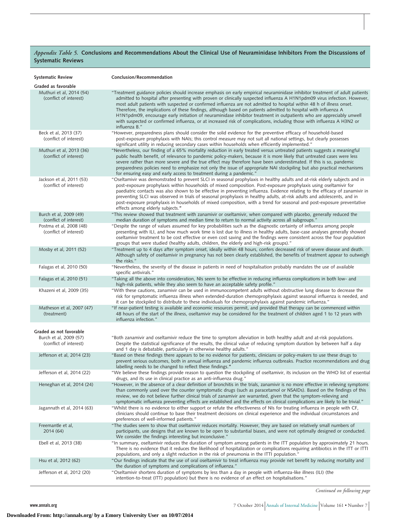#### *Appendix Table 5.* **Conclusions and Recommendations About the Clinical Use of Neuraminidase Inhibitors From the Discussions of Systematic Reviews**

| <b>Systematic Review</b>                                                    | Conclusion/Recommendation                                                                                                                                                                                                                                                                                                                                                                                                                                                                                                                                                                                                                                                                                                                                               |
|-----------------------------------------------------------------------------|-------------------------------------------------------------------------------------------------------------------------------------------------------------------------------------------------------------------------------------------------------------------------------------------------------------------------------------------------------------------------------------------------------------------------------------------------------------------------------------------------------------------------------------------------------------------------------------------------------------------------------------------------------------------------------------------------------------------------------------------------------------------------|
| Graded as favorable                                                         |                                                                                                                                                                                                                                                                                                                                                                                                                                                                                                                                                                                                                                                                                                                                                                         |
| Muthuri et al, 2014 (54)<br>(conflict of interest)                          | "Treatment guidance policies should increase emphasis on early empirical neuraminidase inhibitor treatment of adult patients<br>admitted to hospital after presenting with proven or clinically suspected influenza A H1N1pdm09 virus infection. However,<br>most adult patients with suspected or confirmed influenza are not admitted to hospital within 48 h of illness onset.<br>Therefore, the implications of these findings, although based on patients admitted to hospital with influenza A<br>H1N1pdm09, encourage early initiation of neuraminidase inhibitor treatment in outpatients who are appreciably unwell<br>with suspected or confirmed influenza, or at increased risk of complications, including those with influenza A H3N2 or<br>influenza B." |
| Beck et al, 2013 (37)<br>(conflict of interest)                             | "However, preparedness plans should consider the solid evidence for the preventive efficacy of household-based<br>post-exposure prophylaxis with NAIs; this control measure may not suit all national settings, but clearly possesses<br>significant utility in reducing secondary cases within households when efficiently implemented."                                                                                                                                                                                                                                                                                                                                                                                                                               |
| Muthuri et al, 2013 (36)<br>(conflict of interest)                          | "Nevertheless, our finding of a 65% mortality reduction in early treated versus untreated patients suggests a meaningful<br>public health benefit, of relevance to pandemic policy-makers, because it is more likely that untreated cases were less<br>severe rather than more severe and the true effect may therefore have been underestimated. If this is so, pandemic<br>preparedness policies need to emphasize not only the issue of appropriate NAI stockpiling but also practical mechanisms<br>for ensuring easy and early access to treatment during a pandemic."                                                                                                                                                                                             |
| Jackson et al, 2011 (53)<br>(conflict of interest)                          | "Oseltamivir was demonstrated to prevent SLCI in seasonal prophylaxis in healthy adults and at-risk elderly subjects and in<br>post-exposure prophylaxis within households of mixed composition. Post-exposure prophylaxis using oseltamivir for<br>paediatric contacts was also shown to be effective in preventing influenza. Evidence relating to the efficacy of zanamivir in<br>preventing SLCI was observed in trials of seasonal prophylaxis in healthy adults, at-risk adults and adolescents, and in<br>post-exposure prophylaxis in households of mixed composition, with a trend for seasonal and post-exposure preventative<br>effects among elderly subjects."                                                                                             |
| Burch et al, 2009 (49)<br>(conflict of interest)                            | "This review showed that treatment with zanamivir or oseltamivir, when compared with placebo, generally reduced the<br>median duration of symptoms and median time to return to normal activity across all subgroups."                                                                                                                                                                                                                                                                                                                                                                                                                                                                                                                                                  |
| Postma et al, 2008 (48)<br>(conflict of interest)                           | "Despite the range of values assumed for key probabilities such as the diagnostic certainty of influenza among people<br>presenting with ILI, and how much work time is lost due to illness in healthy adults, base-case analyses generally showed<br>oseltamivir treatment to be cost effective or even cost saving and the findings were consistent across the four population<br>groups that were studied (healthy adults, children, the elderly and high-risk groups)."                                                                                                                                                                                                                                                                                             |
| Mosby et al, 2011 (52)                                                      | "Treatment up to 4 days after symptom onset, ideally within 48 hours, confers decreased risk of severe disease and death.<br>Although safety of oseltamivir in pregnancy has not been clearly established, the benefits of treatment appear to outweigh<br>the risks."                                                                                                                                                                                                                                                                                                                                                                                                                                                                                                  |
| Falagas et al, 2010 (50)                                                    | "Nevertheless, the severity of the disease in patients in need of hospitalisation probably mandates the use of available<br>specific antivirals."                                                                                                                                                                                                                                                                                                                                                                                                                                                                                                                                                                                                                       |
| Falagas et al, 2010 (51)                                                    | "Taking all the above into consideration, NIs seem to be effective in reducing influenza complications in both low- and<br>high-risk patients, while they also seem to have an acceptable safety profile."                                                                                                                                                                                                                                                                                                                                                                                                                                                                                                                                                              |
| Khazeni et al, 2009 (35)                                                    | "With these cautions, zanamivir can be used in immunocompetent adults without obstructive lung disease to decrease the<br>risk for symptomatic influenza illness when extended-duration chemoprophylaxis against seasonal influenza is needed, and<br>it can be stockpiled to distribute to these individuals for chemoprophylaxis against pandemic influenza."                                                                                                                                                                                                                                                                                                                                                                                                         |
| Matheson et al, 2007 (47)<br>(treatment)                                    | "If near-patient testing is available and economic resources permit, and provided that therapy can be commenced within<br>48 hours of the start of the illness, oseltamivir may be considered for the treatment of children aged 1 to 12 years with<br>influenza infection."                                                                                                                                                                                                                                                                                                                                                                                                                                                                                            |
|                                                                             |                                                                                                                                                                                                                                                                                                                                                                                                                                                                                                                                                                                                                                                                                                                                                                         |
| Graded as not favorable<br>Burch et al, 2009 (57)<br>(conflict of interest) | "Both zanamivir and oseltamivir reduce the time to symptom alleviation in both healthy adult and at-risk populations.<br>Despite the statistical significance of the results, the clinical value of reducing symptom duration by between half a day<br>and 1 day is debatable, particularly in otherwise healthy adults."                                                                                                                                                                                                                                                                                                                                                                                                                                               |
| Jefferson et al, 2014 (23)                                                  | "Based on these findings there appears to be no evidence for patients, clinicians or policy-makers to use these drugs to<br>prevent serious outcomes, both in annual influenza and pandemic influenza outbreaks. Practice recommendations and drug<br>labelling needs to be changed to reflect these findings."                                                                                                                                                                                                                                                                                                                                                                                                                                                         |
| Jefferson et al, 2014 (22)                                                  | "We believe these findings provide reason to question the stockpiling of oseltamivir, its inclusion on the WHO list of essential<br>drugs, and its use in clinical practice as an anti-influenza drug."                                                                                                                                                                                                                                                                                                                                                                                                                                                                                                                                                                 |
| Heneghan et al, 2014 (24)                                                   | "However, in the absence of a clear definition of bronchitis in the trials, zanamivir is no more effective in relieving symptoms<br>than commonly used over the counter symptomatic drugs (such as paracetamol or NSAIDs). Based on the findings of this<br>review, we do not believe further clinical trials of zanamivir are warranted, given that the symptom-relieving and<br>symptomatic influenza preventing effects are established and the effects on clinical complications are likely to be trivial."                                                                                                                                                                                                                                                         |
| Jagannath et al, 2014 (63)                                                  | "Whilst there is no evidence to either support or refute the effectiveness of NIs for treating influenza in people with CF,<br>clinicians should continue to base their treatment decisions on clinical experience and the individual circumstances and<br>preferences of well-informed patients."                                                                                                                                                                                                                                                                                                                                                                                                                                                                      |
| Freemantle et al,<br>2014 (64)                                              | "The studies seem to show that oseltamivir reduces mortality. However, they are based on relatively small numbers of<br>participants, use designs that are known to be open to substantial biases, and were not optimally designed or conducted.<br>We consider the findings interesting but inconclusive."                                                                                                                                                                                                                                                                                                                                                                                                                                                             |
| Ebell et al, 2013 (38)                                                      | "In summary, oseltamivir reduces the duration of symptom among patients in the ITT population by approximately 21 hours.<br>There is no evidence that it reduces the likelihood of hospitalization or complications requiring antibiotics in the ITT or ITTI<br>populations, and only a slight reduction in the risk of pneumonia in the ITTI population."                                                                                                                                                                                                                                                                                                                                                                                                              |
| Hsu et al, 2012 (62)                                                        | "Our findings indicate that the use of oral oseltamivir to treat influenza may provide net benefit by reducing mortality and<br>the duration of symptoms and complications of influenza."                                                                                                                                                                                                                                                                                                                                                                                                                                                                                                                                                                               |
| Jefferson et al, 2012 (20)                                                  | "Oseltamivir shortens duration of symptoms by less than a day in people with influenza-like illness (ILI) (the<br>intention-to-treat (ITT) population) but there is no evidence of an effect on hospitalisations."                                                                                                                                                                                                                                                                                                                                                                                                                                                                                                                                                      |

*Continued on following page*